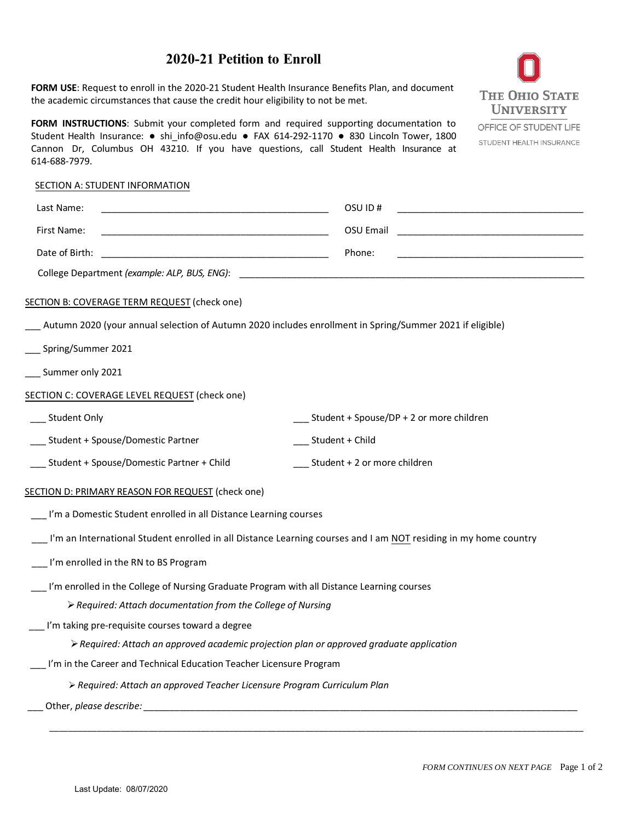# **2020-21 Petition to Enroll**

**FORM USE**: Request to enroll in the 2020-21 Student Health Insurance Benefits Plan, and document the academic circumstances that cause the credit hour eligibility to not be met.

**FORM INSTRUCTIONS**: Submit your completed form and required supporting documentation to Student Health Insurance: ● shi\_info@osu.edu ● FAX 614-292-1170 ● 830 Lincoln Tower, 1800 Cannon Dr, Columbus OH 43210. If you have questions, call [Student Health Insurance at](mailto:shi_info@osu.edu)  [614-688-7979.](mailto:shi_info@osu.edu)

# **THE OHIO STATE UNIVERSITY**

OFFICE OF STUDENT LIFE STUDENT HEALTH INSURANCE

#### SECTION A: STUDENT INFORMATION

| Last Name:                                                                                                                                                                                                                     |                              | OSU ID#                                                                                                                                                                                                                                                                                                   |  |  |
|--------------------------------------------------------------------------------------------------------------------------------------------------------------------------------------------------------------------------------|------------------------------|-----------------------------------------------------------------------------------------------------------------------------------------------------------------------------------------------------------------------------------------------------------------------------------------------------------|--|--|
| First Name:                                                                                                                                                                                                                    |                              | OSU Email                                                                                                                                                                                                                                                                                                 |  |  |
| Date of Birth:                                                                                                                                                                                                                 |                              | Phone:                                                                                                                                                                                                                                                                                                    |  |  |
| College Department (example: ALP, BUS, ENG):                                                                                                                                                                                   |                              |                                                                                                                                                                                                                                                                                                           |  |  |
| SECTION B: COVERAGE TERM REQUEST (check one) *<br>Autumn 2020 (AU20 includes enrollment in SP/SU21 if eligible)<br>Spring/Summer 2021<br>__ Summer only 2021                                                                   |                              | Your Selection of the SHI Benefits Plan remains in<br>effect for the remainder of the policy year and you<br>cannot modify your selection from term to term.<br>Rates and fee payment options are available at<br>shi.osu.edu. Please review this important information<br>prior to submitting this form. |  |  |
| SECTION C: COVERAGE LEVEL REQUEST (check one)                                                                                                                                                                                  |                              |                                                                                                                                                                                                                                                                                                           |  |  |
| Student Only                                                                                                                                                                                                                   |                              | Student + Spouse/DP + 2 or more children                                                                                                                                                                                                                                                                  |  |  |
| _ Student + Spouse/Domestic Partner                                                                                                                                                                                            | __ Student + Child           |                                                                                                                                                                                                                                                                                                           |  |  |
| Student + Spouse/Domestic Partner + Child                                                                                                                                                                                      | Student + 2 or more children |                                                                                                                                                                                                                                                                                                           |  |  |
| SECTION D: PRIMARY REASON FOR REQUEST (check one)                                                                                                                                                                              |                              |                                                                                                                                                                                                                                                                                                           |  |  |
| __ I'm a Domestic Student enrolled in all Distance Learning courses                                                                                                                                                            |                              |                                                                                                                                                                                                                                                                                                           |  |  |
| I'm an International Student enrolled in all Distance Learning courses and I am NOT residing in my home country                                                                                                                |                              |                                                                                                                                                                                                                                                                                                           |  |  |
| I'm enrolled in the RN to BS Program                                                                                                                                                                                           |                              |                                                                                                                                                                                                                                                                                                           |  |  |
| I'm enrolled in the College of Nursing Graduate Program with all Distance Learning courses<br>> Required: Attach documentation from the College of Nursing                                                                     |                              |                                                                                                                                                                                                                                                                                                           |  |  |
| I'm taking pre-requisite courses toward a degree                                                                                                                                                                               |                              |                                                                                                                                                                                                                                                                                                           |  |  |
| > Required: Attach an approved academic projection plan or approved graduate application                                                                                                                                       |                              |                                                                                                                                                                                                                                                                                                           |  |  |
| I'm in the Career and Technical Education Teacher Licensure Program                                                                                                                                                            |                              |                                                                                                                                                                                                                                                                                                           |  |  |
| > Required: Attach an approved Teacher Licensure Program Curriculum Plan                                                                                                                                                       |                              |                                                                                                                                                                                                                                                                                                           |  |  |
| Other, please describe: and the state of the state of the state of the state of the state of the state of the state of the state of the state of the state of the state of the state of the state of the state of the state of |                              |                                                                                                                                                                                                                                                                                                           |  |  |

*\_\_\_\_\_\_\_\_\_\_\_\_\_\_\_\_\_\_\_\_\_\_\_\_\_\_\_\_\_\_\_\_\_\_\_\_\_\_\_\_\_\_\_\_\_\_\_\_\_\_\_\_\_\_\_\_\_\_\_\_\_\_\_\_\_\_\_\_\_\_\_\_\_\_\_\_\_\_\_\_\_\_\_\_\_\_\_\_\_\_\_\_\_\_\_\_\_\_\_\_\_\_\_\_\_\_\_\_\_\_\_\_\_*